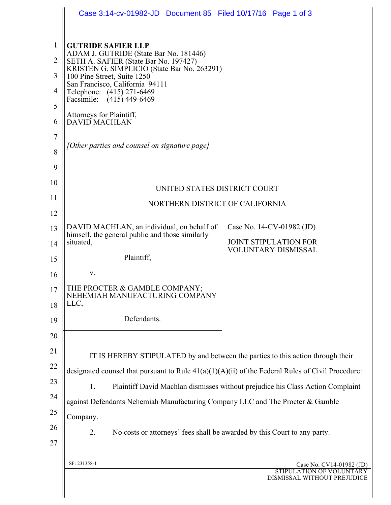|                | Case 3:14-cv-01982-JD  Document 85  Filed 10/17/16  Page 1 of 3                                     |                                                                                         |  |  |  |
|----------------|-----------------------------------------------------------------------------------------------------|-----------------------------------------------------------------------------------------|--|--|--|
| $\mathbf{1}$   | <b>GUTRIDE SAFIER LLP</b>                                                                           |                                                                                         |  |  |  |
| $\overline{2}$ | ADAM J. GUTRIDE (State Bar No. 181446)<br>SETH A. SAFIER (State Bar No. 197427)                     |                                                                                         |  |  |  |
| $\overline{3}$ | KRISTEN G. SIMPLICIO (State Bar No. 263291)<br>100 Pine Street, Suite 1250                          |                                                                                         |  |  |  |
| 4              | San Francisco, California 94111<br>Telephone: (415) 271-6469                                        |                                                                                         |  |  |  |
| 5              | Facsimile: (415) 449-6469                                                                           |                                                                                         |  |  |  |
| 6              | Attorneys for Plaintiff,<br><b>DAVID MACHLAN</b>                                                    |                                                                                         |  |  |  |
| $\overline{7}$ |                                                                                                     |                                                                                         |  |  |  |
| 8              | [Other parties and counsel on signature page]                                                       |                                                                                         |  |  |  |
| 9              |                                                                                                     |                                                                                         |  |  |  |
| 10             | UNITED STATES DISTRICT COURT                                                                        |                                                                                         |  |  |  |
| 11             | NORTHERN DISTRICT OF CALIFORNIA                                                                     |                                                                                         |  |  |  |
| 12             |                                                                                                     |                                                                                         |  |  |  |
| 13             | DAVID MACHLAN, an individual, on behalf of<br>himself, the general public and those similarly       | Case No. 14-CV-01982 (JD)                                                               |  |  |  |
| 14             | situated,                                                                                           | <b>JOINT STIPULATION FOR</b><br><b>VOLUNTARY DISMISSAL</b>                              |  |  |  |
| 15             | Plaintiff,                                                                                          |                                                                                         |  |  |  |
| 16             | V.                                                                                                  |                                                                                         |  |  |  |
| 17             | THE PROCTER & GAMBLE COMPANY:<br>NEHEMIAH MANUFACTURING COMPANY                                     |                                                                                         |  |  |  |
| 18             | LLC,                                                                                                |                                                                                         |  |  |  |
| 19             | Defendants.                                                                                         |                                                                                         |  |  |  |
| 20             |                                                                                                     |                                                                                         |  |  |  |
| 21             | IT IS HEREBY STIPULATED by and between the parties to this action through their                     |                                                                                         |  |  |  |
| 22             | designated counsel that pursuant to Rule $41(a)(1)(A)(ii)$ of the Federal Rules of Civil Procedure: |                                                                                         |  |  |  |
| 23             | 1.<br>Plaintiff David Machlan dismisses without prejudice his Class Action Complaint                |                                                                                         |  |  |  |
| 24             | against Defendants Nehemiah Manufacturing Company LLC and The Procter & Gamble                      |                                                                                         |  |  |  |
| 25             | Company.                                                                                            |                                                                                         |  |  |  |
| 26             | No costs or attorneys' fees shall be awarded by this Court to any party.<br>2.                      |                                                                                         |  |  |  |
| 27             |                                                                                                     |                                                                                         |  |  |  |
|                | SF: 231358-1                                                                                        | Case No. CV14-01982 (JD)<br><b>STIPULATION OF VOLUNT</b><br>DISMISSAL WITHOUT PREJUDICE |  |  |  |
|                |                                                                                                     |                                                                                         |  |  |  |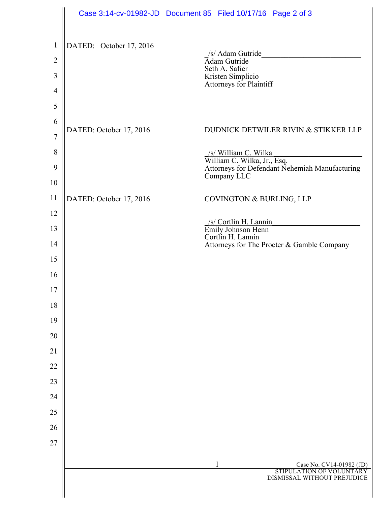|                                                       | Case 3:14-cv-01982-JD  Document 85  Filed 10/17/16  Page 2 of 3 |                |                                                                  |                                                                                                       |
|-------------------------------------------------------|-----------------------------------------------------------------|----------------|------------------------------------------------------------------|-------------------------------------------------------------------------------------------------------|
| $\mathbf{1}$<br>$\overline{2}$<br>3<br>$\overline{4}$ | DATED: October 17, 2016                                         | Seth A. Safier | /s/ Adam Gutride<br>Kristen Simplicio<br>Attorneys for Plaintiff |                                                                                                       |
| 5                                                     |                                                                 |                |                                                                  |                                                                                                       |
| 6<br>$\overline{7}$                                   | DATED: October 17, 2016                                         |                |                                                                  | DUDNICK DETWILER RIVIN & STIKKER LLP                                                                  |
| 8                                                     |                                                                 |                |                                                                  |                                                                                                       |
| 9                                                     |                                                                 |                |                                                                  | /s/ William C. Wilka<br>William C. Wilka, Jr., Esq.<br>Attorneys for Defendant Nehemiah Manufacturing |
| 10                                                    |                                                                 |                | Company LLC                                                      |                                                                                                       |
| 11                                                    | DATED: October 17, 2016                                         |                | COVINGTON & BURLING, LLP                                         |                                                                                                       |
| 12                                                    |                                                                 |                |                                                                  |                                                                                                       |
| 13                                                    |                                                                 |                | /s/ Cortlin H. Lannin<br>Emily Johnson Henn<br>Cortlin H. Lannin |                                                                                                       |
| 14                                                    |                                                                 |                |                                                                  | Attorneys for The Procter & Gamble Company                                                            |
| 15                                                    |                                                                 |                |                                                                  |                                                                                                       |
| 16                                                    |                                                                 |                |                                                                  |                                                                                                       |
| 17                                                    |                                                                 |                |                                                                  |                                                                                                       |
| 18                                                    |                                                                 |                |                                                                  |                                                                                                       |
| 19                                                    |                                                                 |                |                                                                  |                                                                                                       |
| 20                                                    |                                                                 |                |                                                                  |                                                                                                       |
| 21                                                    |                                                                 |                |                                                                  |                                                                                                       |
| 22                                                    |                                                                 |                |                                                                  |                                                                                                       |
| 23<br>24                                              |                                                                 |                |                                                                  |                                                                                                       |
| 25                                                    |                                                                 |                |                                                                  |                                                                                                       |
| 26                                                    |                                                                 |                |                                                                  |                                                                                                       |
| 27                                                    |                                                                 |                |                                                                  |                                                                                                       |
|                                                       |                                                                 |                |                                                                  |                                                                                                       |
|                                                       |                                                                 |                |                                                                  | Case No. CV14-01982 (JD)<br>STIPULATION OF VOLUNTARY                                                  |
|                                                       |                                                                 |                |                                                                  | DISMISSAL WITHOUT PREJUDICE                                                                           |
|                                                       |                                                                 |                |                                                                  |                                                                                                       |